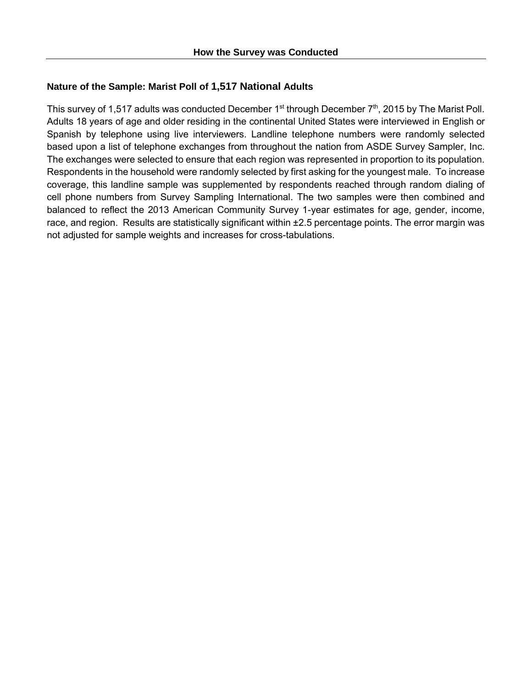## **Nature of the Sample: Marist Poll of 1,517 National Adults**

This survey of 1,517 adults was conducted December  $1<sup>st</sup>$  through December  $7<sup>th</sup>$ , 2015 by The Marist Poll. Adults 18 years of age and older residing in the continental United States were interviewed in English or Spanish by telephone using live interviewers. Landline telephone numbers were randomly selected based upon a list of telephone exchanges from throughout the nation from ASDE Survey Sampler, Inc. The exchanges were selected to ensure that each region was represented in proportion to its population. Respondents in the household were randomly selected by first asking for the youngest male. To increase coverage, this landline sample was supplemented by respondents reached through random dialing of cell phone numbers from Survey Sampling International. The two samples were then combined and balanced to reflect the 2013 American Community Survey 1-year estimates for age, gender, income, race, and region. Results are statistically significant within ±2.5 percentage points. The error margin was not adjusted for sample weights and increases for cross-tabulations.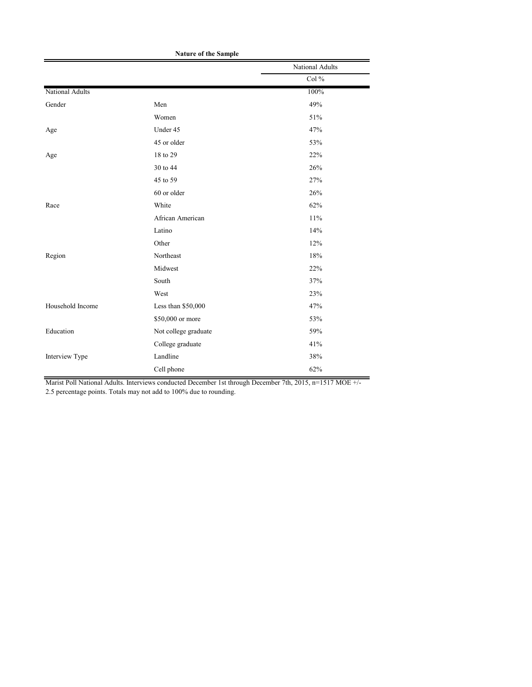|                        |                      | National Adults |
|------------------------|----------------------|-----------------|
|                        |                      | Col %           |
| <b>National Adults</b> |                      | 100%            |
| Gender                 | Men                  | 49%             |
|                        | Women                | 51%             |
| Age                    | Under 45             | 47%             |
|                        | 45 or older          | 53%             |
| Age                    | 18 to 29             | 22%             |
|                        | 30 to 44             | 26%             |
|                        | 45 to 59             | 27%             |
|                        | 60 or older          | 26%             |
| Race                   | White                | 62%             |
|                        | African American     | 11%             |
|                        | Latino               | 14%             |
|                        | Other                | 12%             |
| Region                 | Northeast            | 18%             |
|                        | Midwest              | 22%             |
|                        | South                | 37%             |
|                        | West                 | 23%             |
| Household Income       | Less than \$50,000   | 47%             |
|                        | \$50,000 or more     | 53%             |
| Education              | Not college graduate | 59%             |
|                        | College graduate     | 41%             |
| Interview Type         | Landline             | 38%             |
|                        | Cell phone           | 62%             |

**Nature of the Sample**

Marist Poll National Adults. Interviews conducted December 1st through December 7th, 2015, n=1517 MOE +/-

2.5 percentage points. Totals may not add to 100% due to rounding.